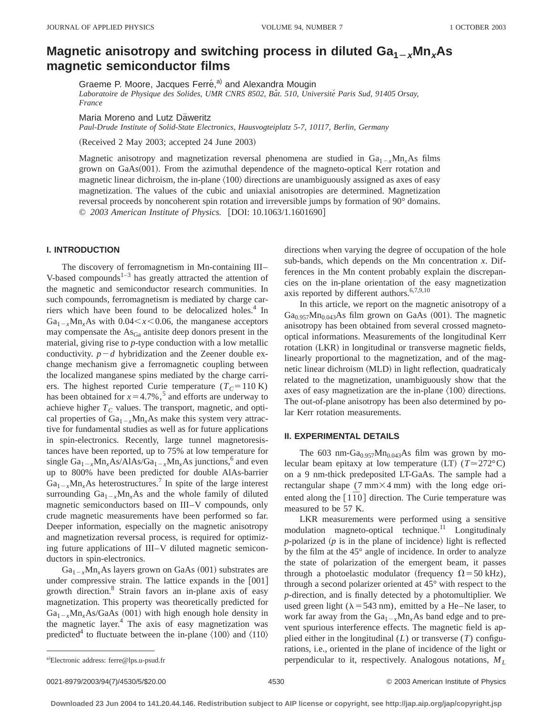# **Magnetic anisotropy and switching process in diluted**  $Ga_{1-x}Mn_xAs$ **magnetic semiconductor films**

Graeme P. Moore, Jacques Ferré,<sup>a)</sup> and Alexandra Mougin

*Laboratoire de Physique des Solides, UMR CNRS 8502, Baˆt. 510, Universite´ Paris Sud, 91405 Orsay, France*

Maria Moreno and Lutz Däweritz

*Paul-Drude Institute of Solid-State Electronics, Hausvogteiplatz 5-7, 10117, Berlin, Germany*

 $(Received 2 May 2003; accepted 24 June 2003)$ 

Magnetic anisotropy and magnetization reversal phenomena are studied in  $Ga_{1-x}M_{1x}As$  films grown on GaAs(001). From the azimuthal dependence of the magneto-optical Kerr rotation and magnetic linear dichroism, the in-plane  $\langle 100 \rangle$  directions are unambiguously assigned as axes of easy magnetization. The values of the cubic and uniaxial anisotropies are determined. Magnetization reversal proceeds by noncoherent spin rotation and irreversible jumps by formation of 90° domains. © 2003 American Institute of Physics. [DOI: 10.1063/1.1601690]

### **I. INTRODUCTION**

The discovery of ferromagnetism in Mn-containing III– V-based compounds $1-3$  has greatly attracted the attention of the magnetic and semiconductor research communities. In such compounds, ferromagnetism is mediated by charge carriers which have been found to be delocalized holes.<sup>4</sup> In  $Ga_{1-x}Mn_xAs$  with 0.04 $\lt x \lt 0.06$ , the manganese acceptors may compensate the  $\text{As}_{\text{Ga}}$  antisite deep donors present in the material, giving rise to *p*-type conduction with a low metallic conductivity.  $p-d$  hybridization and the Zeener double exchange mechanism give a ferromagnetic coupling between the localized manganese spins mediated by the charge carriers. The highest reported Curie temperature  $(T_C = 110 \text{ K})$ has been obtained for  $x=4.7\%$ ,<sup>5</sup> and efforts are underway to achieve higher  $T_c$  values. The transport, magnetic, and optical properties of  $Ga_{1-x}Mn<sub>x</sub>As$  make this system very attractive for fundamental studies as well as for future applications in spin-electronics. Recently, large tunnel magnetoresistances have been reported, up to 75% at low temperature for single  $Ga_{1-x}Mn_xAs/AlAs/Ga_{1-x}Mn_xAs$  junctions,<sup>6</sup> and even up to 800% have been predicted for double AlAs-barrier  $Ga_{1-x}Mn_xAs$  heterostructures.<sup>7</sup> In spite of the large interest surrounding  $Ga_{1-x}Mn<sub>x</sub>As$  and the whole family of diluted magnetic semiconductors based on III–V compounds, only crude magnetic measurements have been performed so far. Deeper information, especially on the magnetic anisotropy and magnetization reversal process, is required for optimizing future applications of III–V diluted magnetic semiconductors in spin-electronics.

 $Ga_{1-x}Mn_xAs$  layers grown on GaAs (001) substrates are under compressive strain. The lattice expands in the  $[001]$ growth direction.8 Strain favors an in-plane axis of easy magnetization. This property was theoretically predicted for  $Ga_{1-x}Mn_xAs/GaAs$  (001) with high enough hole density in the magnetic layer.4 The axis of easy magnetization was predicted<sup>4</sup> to fluctuate between the in-plane  $\langle 100 \rangle$  and  $\langle 110 \rangle$  directions when varying the degree of occupation of the hole sub-bands, which depends on the Mn concentration *x*. Differences in the Mn content probably explain the discrepancies on the in-plane orientation of the easy magnetization axis reported by different authors.<sup>6,7,9,10</sup>

In this article, we report on the magnetic anisotropy of a  $Ga<sub>0.957</sub>Mn<sub>0.043</sub>As film grown on GaAs (001). The magnetic$ anisotropy has been obtained from several crossed magnetooptical informations. Measurements of the longitudinal Kerr rotation (LKR) in longitudinal or transverse magnetic fields, linearly proportional to the magnetization, and of the magnetic linear dichroism (MLD) in light reflection, quadraticaly related to the magnetization, unambiguously show that the axes of easy magnetization are the in-plane  $\langle 100 \rangle$  directions. The out-of-plane anisotropy has been also determined by polar Kerr rotation measurements.

## **II. EXPERIMENTAL DETAILS**

The 603 nm-Ga<sub>0.957</sub>Mn<sub>0.043</sub>As film was grown by molecular beam epitaxy at low temperature  $(LT)$   $(T \approx 272^{\circ}C)$ on a 9 nm-thick predeposited LT-GaAs. The sample had a rectangular shape  $(7 \text{ mm} \times 4 \text{ mm})$  with the long edge oriented along the  $\lceil 1\overline{1}0 \rceil$  direction. The Curie temperature was measured to be 57 K.

LKR measurements were performed using a sensitive modulation magneto-optical technique.<sup>11</sup> Longitudinaly  $p$ -polarized  $(p$  is in the plane of incidence) light is reflected by the film at the 45° angle of incidence. In order to analyze the state of polarization of the emergent beam, it passes through a photoelastic modulator (frequency  $\Omega$  = 50 kHz), through a second polarizer oriented at 45° with respect to the *p*-direction, and is finally detected by a photomultiplier. We used green light ( $\lambda$  = 543 nm), emitted by a He–Ne laser, to work far away from the  $Ga_{1-x}Mn_xAs$  band edge and to prevent spurious interference effects. The magnetic field is applied either in the longitudinal  $(L)$  or transverse  $(T)$  configurations, i.e., oriented in the plane of incidence of the light or perpendicular to it, respectively. Analogous notations,  $M_L$ 

a)Electronic address: ferre@lps.u-psud.fr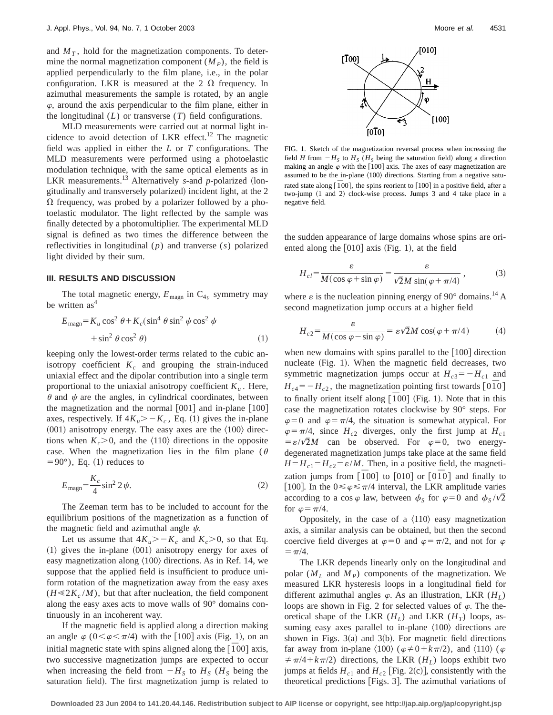and  $M<sub>T</sub>$ , hold for the magnetization components. To determine the normal magnetization component  $(M_P)$ , the field is applied perpendicularly to the film plane, i.e., in the polar configuration. LKR is measured at the 2  $\Omega$  frequency. In azimuthal measurements the sample is rotated, by an angle  $\varphi$ , around the axis perpendicular to the film plane, either in the longitudinal (*L*) or transverse (*T*) field configurations.

MLD measurements were carried out at normal light incidence to avoid detection of LKR effect.<sup>12</sup> The magnetic field was applied in either the *L* or *T* configurations. The MLD measurements were performed using a photoelastic modulation technique, with the same optical elements as in LKR measurements.<sup>13</sup> Alternatively *s*-and *p*-polarized (longitudinally and transversely polarized) incident light, at the 2  $\Omega$  frequency, was probed by a polarizer followed by a photoelastic modulator. The light reflected by the sample was finally detected by a photomultiplier. The experimental MLD signal is defined as two times the difference between the reflectivities in longitudinal (*p*) and tranverse (*s*) polarized light divided by their sum.

#### **III. RESULTS AND DISCUSSION**

The total magnetic energy,  $E_{\text{magn}}$  in  $C_{4v}$  symmetry may be written  $as<sup>4</sup>$ 

$$
E_{\text{magn}} = K_u \cos^2 \theta + K_c (\sin^4 \theta \sin^2 \psi \cos^2 \psi
$$
  
+ 
$$
\sin^2 \theta \cos^2 \theta
$$
 (1)

keeping only the lowest-order terms related to the cubic anisotropy coefficient  $K_c$  and grouping the strain-induced uniaxial effect and the dipolar contribution into a single term proportional to the uniaxial anisotropy coefficient  $K_u$ . Here,  $\theta$  and  $\psi$  are the angles, in cylindrical coordinates, between the magnetization and the normal  $[001]$  and in-plane  $[100]$ axes, respectively. If  $4K_u > -K_c$ , Eq. (1) gives the in-plane  $(001)$  anisotropy energy. The easy axes are the  $\langle 100 \rangle$  directions when  $K_c$  > 0, and the  $\langle 110 \rangle$  directions in the opposite case. When the magnetization lies in the film plane ( $\theta$  $=90^{\circ}$ ), Eq. (1) reduces to

$$
E_{\text{magn}} = \frac{K_c}{4} \sin^2 2 \psi. \tag{2}
$$

The Zeeman term has to be included to account for the equilibrium positions of the magnetization as a function of the magnetic field and azimuthal angle  $\psi$ .

Let us assume that  $4K_u > -K_c$  and  $K_c > 0$ , so that Eq.  $(1)$  gives the in-plane  $(001)$  anisotropy energy for axes of easy magnetization along  $\langle 100 \rangle$  directions. As in Ref. 14, we suppose that the applied field is insufficient to produce uniform rotation of the magnetization away from the easy axes  $(H \ll 2K_c/M)$ , but that after nucleation, the field component along the easy axes acts to move walls of 90° domains continuously in an incoherent way.

If the magnetic field is applied along a direction making an angle  $\varphi$  (0 $\lt \varphi \lt \pi/4$ ) with the [100] axis (Fig. 1), on an initial magnetic state with spins aligned along the  $[100]$  axis, two successive magnetization jumps are expected to occur when increasing the field from  $-H<sub>S</sub>$  to  $H<sub>S</sub>$  ( $H<sub>S</sub>$  being the saturation field). The first magnetization jump is related to



FIG. 1. Sketch of the magnetization reversal process when increasing the field *H* from  $-H<sub>S</sub>$  to  $H<sub>S</sub>$  ( $H<sub>S</sub>$  being the saturation field) along a direction making an angle  $\varphi$  with the [100] axis. The axes of easy magnetization are assumed to be the in-plane  $\langle 100 \rangle$  directions. Starting from a negative saturated state along  $\left[\overline{100}\right]$ , the spins reorient to  $\left[100\right]$  in a positive field, after a two-jump (1 and 2) clock-wise process. Jumps 3 and 4 take place in a negative field.

the sudden appearance of large domains whose spins are oriented along the  $[010]$  axis (Fig. 1), at the field

$$
H_{cl} = \frac{\varepsilon}{M(\cos\varphi + \sin\varphi)} = \frac{\varepsilon}{\sqrt{2}M\sin(\varphi + \pi/4)},
$$
 (3)

where  $\varepsilon$  is the nucleation pinning energy of 90 $^{\circ}$  domains.<sup>14</sup> A second magnetization jump occurs at a higher field

$$
H_{c2} = \frac{\varepsilon}{M(\cos\varphi - \sin\varphi)} = \varepsilon\sqrt{2}M\cos(\varphi + \pi/4)
$$
 (4)

when new domains with spins parallel to the  $[100]$  direction nucleate  $(Fig. 1)$ . When the magnetic field decreases, two symmetric magnetization jumps occur at  $H_{c3} = -H_{c1}$  and  $H_{c4} = -H_{c2}$ , the magnetization pointing first towards [0<sup> $\bar{1}$ 0<sup>]</sup></sup> to finally orient itself along  $\lbrack \bar{1}00 \rbrack$  (Fig. 1). Note that in this case the magnetization rotates clockwise by 90° steps. For  $\varphi=0$  and  $\varphi=\pi/4$ , the situation is somewhat atypical. For  $\varphi = \pi/4$ , since  $H_{c2}$  diverges, only the first jump at  $H_{c1}$  $= \varepsilon / \sqrt{2}M$  can be observed. For  $\varphi = 0$ , two energydegenerated magnetization jumps take place at the same field  $H = H_{c1} = H_{c2} = \varepsilon / M$ . Then, in a positive field, the magnetization jumps from  $\left[\overline{1}00\right]$  to  $\left[010\right]$  or  $\left[\overline{0}\,\overline{1}0\right]$  and finally to [100]. In the  $0 \le \varphi \le \pi/4$  interval, the LKR amplitude varies according to a cos  $\varphi$  law, between  $\phi_S$  for  $\varphi=0$  and  $\phi_S/\sqrt{2}$ for  $\varphi = \pi/4$ .

Oppositely, in the case of a  $\langle 110 \rangle$  easy magnetization axis, a similar analysis can be obtained, but then the second coercive field diverges at  $\varphi=0$  and  $\varphi=\pi/2$ , and not for  $\varphi$  $=\pi/4.$ 

The LKR depends linearly only on the longitudinal and polar  $(M_L$  and  $M_P$ ) components of the magnetization. We measured LKR hysteresis loops in a longitudinal field for different azimuthal angles  $\varphi$ . As an illustration, LKR  $(H_L)$ loops are shown in Fig. 2 for selected values of  $\varphi$ . The theoretical shape of the LKR  $(H<sub>I</sub>)$  and LKR  $(H<sub>T</sub>)$  loops, assuming easy axes parallel to in-plane  $\langle 100 \rangle$  directions are shown in Figs.  $3(a)$  and  $3(b)$ . For magnetic field directions far away from in-plane  $\langle 100 \rangle$  ( $\varphi \neq 0+k\pi/2$ ), and  $\langle 110 \rangle$  ( $\varphi$  $\neq \pi/4 + k\pi/2$ ) directions, the LKR (*H<sub>L</sub>*) loops exhibit two jumps at fields  $H_{c1}$  and  $H_{c2}$  [Fig. 2(c)], consistently with the theoretical predictions [Figs. 3]. The azimuthal variations of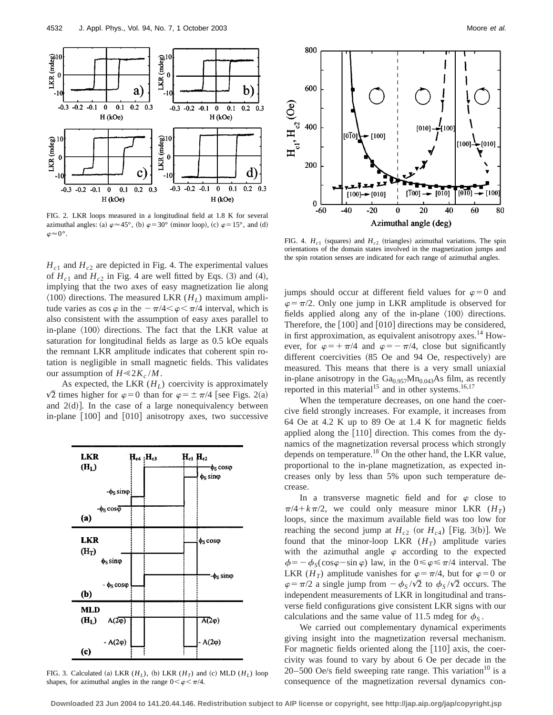

FIG. 2. LKR loops measured in a longitudinal field at 1.8 K for several azimuthal angles: (a)  $\varphi \approx 45^{\circ}$ , (b)  $\varphi = 30^{\circ}$  (minor loop), (c)  $\varphi = 15^{\circ}$ , and (d)  $\varphi \approx 0^{\circ}$ .

 $H_{c1}$  and  $H_{c2}$  are depicted in Fig. 4. The experimental values of  $H_{c1}$  and  $H_{c2}$  in Fig. 4 are well fitted by Eqs. (3) and (4), implying that the two axes of easy magnetization lie along  $\langle 100 \rangle$  directions. The measured LKR ( $H_L$ ) maximum amplitude varies as  $\cos \varphi$  in the  $-\pi/4 < \varphi < \pi/4$  interval, which is also consistent with the assumption of easy axes parallel to in-plane  $\langle 100 \rangle$  directions. The fact that the LKR value at saturation for longitudinal fields as large as 0.5 kOe equals the remnant LKR amplitude indicates that coherent spin rotation is negligible in small magnetic fields. This validates our assumption of  $H \ll 2K_c/M$ .

As expected, the LKR  $(H_L)$  coercivity is approximately  $\sqrt{2}$  times higher for  $\varphi=0$  than for  $\varphi=\pm \pi/4$  [see Figs. 2(a) and  $2(d)$ . In the case of a large nonequivalency between in-plane  $\lceil 100 \rceil$  and  $\lceil 010 \rceil$  anisotropy axes, two successive



FIG. 3. Calculated (a) LKR  $(H_L)$ , (b) LKR  $(H_T)$  and (c) MLD  $(H_L)$  loop shapes, for azimuthal angles in the range  $0 < \varphi < \pi/4$ .



FIG. 4.  $H_{c1}$  (squares) and  $H_{c2}$  (triangles) azimuthal variations. The spin orientations of the domain states involved in the magnetization jumps and the spin rotation senses are indicated for each range of azimuthal angles.

jumps should occur at different field values for  $\varphi=0$  and  $\varphi = \pi/2$ . Only one jump in LKR amplitude is observed for fields applied along any of the in-plane  $\langle 100 \rangle$  directions. Therefore, the  $[100]$  and  $[010]$  directions may be considered, in first approximation, as equivalent anisotropy axes.<sup>14</sup> However, for  $\varphi = \pm \pi/4$  and  $\varphi = -\pi/4$ , close but significantly different coercivities  $(85$  Oe and 94 Oe, respectively) are measured. This means that there is a very small uniaxial in-plane anisotropy in the  $Ga<sub>0.957</sub>Mn<sub>0.043</sub>As film, as recently$ reported in this material<sup>15</sup> and in other systems.<sup>16,17</sup>

When the temperature decreases, on one hand the coercive field strongly increases. For example, it increases from 64 Oe at 4.2 K up to 89 Oe at 1.4 K for magnetic fields applied along the  $[110]$  direction. This comes from the dynamics of the magnetization reversal process which strongly depends on temperature.<sup>18</sup> On the other hand, the LKR value, proportional to the in-plane magnetization, as expected increases only by less than 5% upon such temperature decrease.

In a transverse magnetic field and for  $\varphi$  close to  $\pi/4 + k\pi/2$ , we could only measure minor LKR  $(H_T)$ loops, since the maximum available field was too low for reaching the second jump at  $H_{c2}$  (or  $H_{c4}$ ) [Fig. 3(b)]. We found that the minor-loop LKR  $(H_T)$  amplitude varies with the azimuthal angle  $\varphi$  according to the expected  $\phi = -\phi_s(\cos\varphi - \sin\varphi)$  law, in the  $0 \le \varphi \le \pi/4$  interval. The LKR ( $H_T$ ) amplitude vanishes for  $\varphi = \pi/4$ , but for  $\varphi = 0$  or  $\varphi = \pi/2$  a single jump from  $-\phi_S/\sqrt{2}$  to  $\phi_S/\sqrt{2}$  occurs. The independent measurements of LKR in longitudinal and transverse field configurations give consistent LKR signs with our calculations and the same value of 11.5 mdeg for  $\phi_{\rm S}$ .

We carried out complementary dynamical experiments giving insight into the magnetization reversal mechanism. For magnetic fields oriented along the  $[110]$  axis, the coercivity was found to vary by about 6 Oe per decade in the 20–500 Oe/s field sweeping rate range. This variation<sup>10</sup> is a consequence of the magnetization reversal dynamics con-

**Downloaded 23 Jun 2004 to 141.20.44.146. Redistribution subject to AIP license or copyright, see http://jap.aip.org/jap/copyright.jsp**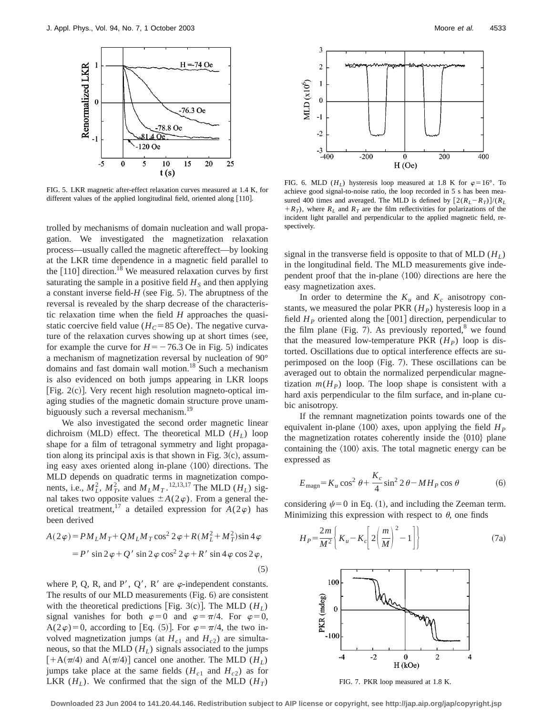

FIG. 5. LKR magnetic after-effect relaxation curves measured at 1.4 K, for different values of the applied longitudinal field, oriented along  $[110]$ .

trolled by mechanisms of domain nucleation and wall propagation. We investigated the magnetization relaxation process—usually called the magnetic aftereffect—by looking at the LKR time dependence in a magnetic field parallel to the  $[110]$  direction.<sup>18</sup> We measured relaxation curves by first saturating the sample in a positive field  $H<sub>S</sub>$  and then applying a constant inverse field- $H$  (see Fig. 5). The abruptness of the reversal is revealed by the sharp decrease of the characteristic relaxation time when the field *H* approaches the quasistatic coercive field value ( $H_C$ =85 Oe). The negative curvature of the relaxation curves showing up at short times (see, for example the curve for  $H = -76.3$  Oe in Fig. 5) indicates a mechanism of magnetization reversal by nucleation of 90° domains and fast domain wall motion.<sup>18</sup> Such a mechanism is also evidenced on both jumps appearing in LKR loops [Fig.  $2(c)$ ]. Very recent high resolution magneto-optical imaging studies of the magnetic domain structure prove unambiguously such a reversal mechanism.<sup>19</sup>

We also investigated the second order magnetic linear dichroism (MLD) effect. The theoretical MLD  $(H_L)$  loop shape for a film of tetragonal symmetry and light propagation along its principal axis is that shown in Fig.  $3(c)$ , assuming easy axes oriented along in-plane  $\langle 100 \rangle$  directions. The MLD depends on quadratic terms in magnetization components, i.e.,  $M_L^2$ ,  $M_T^2$ , and  $M_L M_T$ .<sup>12,13,17</sup> The MLD ( $H_L$ ) signal takes two opposite values  $\pm A(2\varphi)$ . From a general theoretical treatment,<sup>17</sup> a detailed expression for  $A(2\varphi)$  has been derived

$$
A(2\varphi) = PM_LM_T + QM_LM_T\cos^2 2\varphi + R(M_L^2 + M_T^2)\sin 4\varphi
$$
  
= P' sin 2\varphi + Q' sin 2\varphi cos<sup>2</sup> 2\varphi + R' sin 4\varphi cos 2\varphi, (5)

where P, Q, R, and P', Q', R' are  $\varphi$ -independent constants. The results of our MLD measurements  $(Fig. 6)$  are consistent with the theoretical predictions [Fig. 3(c)]. The MLD  $(H_L)$ signal vanishes for both  $\varphi=0$  and  $\varphi=\pi/4$ . For  $\varphi=0$ , A(2 $\varphi$ )=0, according to [Eq. (5)]. For  $\varphi = \pi/4$ , the two involved magnetization jumps (at  $H_{c1}$  and  $H_{c2}$ ) are simultaneous, so that the MLD  $(H_L)$  signals associated to the jumps  $[+A(\pi/4)$  and  $A(\pi/4)]$  cancel one another. The MLD (*H<sub>L</sub>*) jumps take place at the same fields  $(H<sub>c1</sub>$  and  $H<sub>c2</sub>)$  as for LKR  $(H_L)$ . We confirmed that the sign of the MLD  $(H_T)$ 



FIG. 6. MLD ( $H_L$ ) hysteresis loop measured at 1.8 K for  $\varphi = 16^\circ$ . To achieve good signal-to-noise ratio, the loop recorded in 5 s has been measured 400 times and averaged. The MLD is defined by  $\left[2(R_I - R_T)\right] / (R_I - R_I)$  $+R_T$ ), where  $R_L$  and  $R_T$  are the film reflectivities for polarizations of the incident light parallel and perpendicular to the applied magnetic field, respectively.

signal in the transverse field is opposite to that of MLD  $(H<sub>L</sub>)$ in the longitudinal field. The MLD measurements give independent proof that the in-plane  $\langle 100 \rangle$  directions are here the easy magnetization axes.

In order to determine the  $K_u$  and  $K_c$  anisotropy constants, we measured the polar PKR  $(H_P)$  hysteresis loop in a field  $H<sub>P</sub>$  oriented along the [001] direction, perpendicular to the film plane (Fig. 7). As previously reported, $8 \text{ we found}$ that the measured low-temperature PKR  $(H_P)$  loop is distorted. Oscillations due to optical interference effects are superimposed on the loop  $(Fig. 7)$ . These oscillations can be averaged out to obtain the normalized perpendicular magnetization  $m(H_p)$  loop. The loop shape is consistent with a hard axis perpendicular to the film surface, and in-plane cubic anisotropy.

If the remnant magnetization points towards one of the equivalent in-plane  $\langle 100 \rangle$  axes, upon applying the field  $H_P$ the magnetization rotates coherently inside the  $\{010\}$  plane containing the  $\langle 100 \rangle$  axis. The total magnetic energy can be expressed as

$$
E_{\text{magn}} = K_u \cos^2 \theta + \frac{K_c}{4} \sin^2 2\theta - MH_P \cos \theta \tag{6}
$$

considering  $\psi=0$  in Eq. (1), and including the Zeeman term. Minimizing this expression with respect to  $\theta$ , one finds

$$
H_P = \frac{2m}{M^2} \left\{ K_u - K_c \left[ 2 \left( \frac{m}{M} \right)^2 - 1 \right] \right\}
$$
 (7a)



FIG. 7. PKR loop measured at 1.8 K.

**Downloaded 23 Jun 2004 to 141.20.44.146. Redistribution subject to AIP license or copyright, see http://jap.aip.org/jap/copyright.jsp**